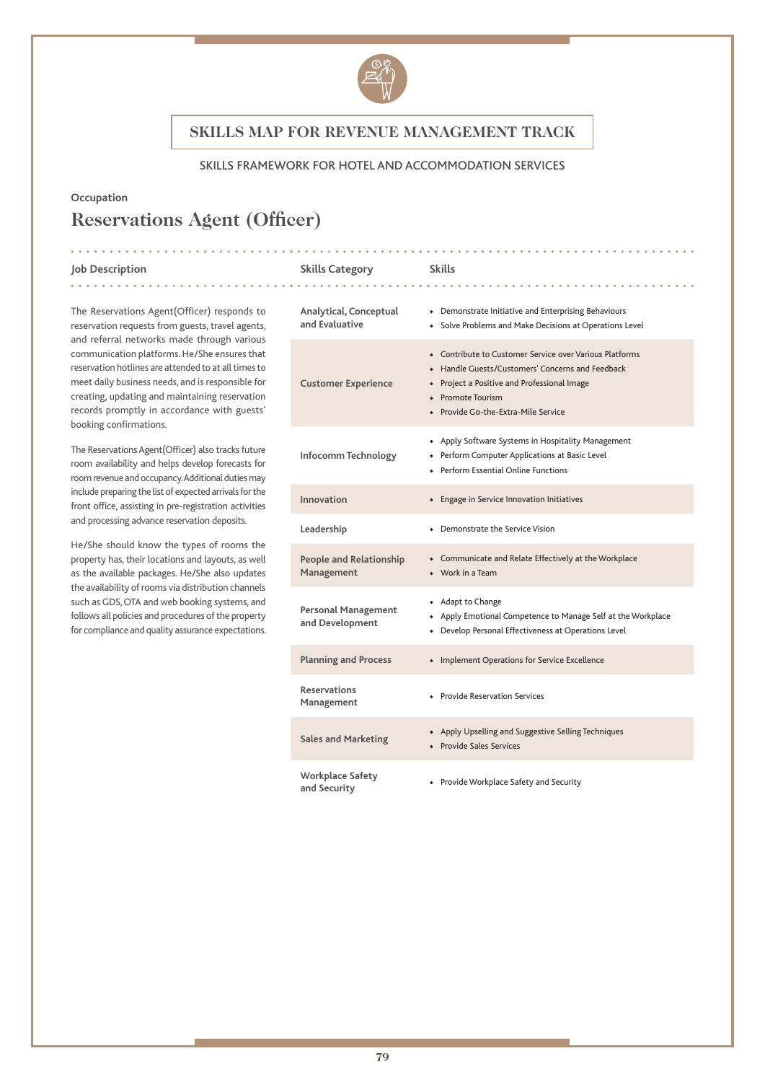

### SKILLS FRAMEWORK FOR HOTEL AND ACCOMMODATION SERVICES

### **Occupation**

# **Reservations Agent (Officer)**

#### **Job Description Skills Category Skills**

. . . . . . . . . . . . .

The Reservations Agent(Officer) responds to reservation requests from guests, travel agents, and referral networks made through various communication platforms. He/She ensures that reservation hotlines are attended to at all times to meet daily business needs, and is responsible for creating, updating and maintaining reservation records promptly in accordance with guests' booking confirmations.

The Reservations Agent(Officer) also tracks future room availability and helps develop forecasts for room revenue and occupancy. Additional duties may include preparing the list of expected arrivals for the front office, assisting in pre-registration activities and processing advance reservation deposits.

He/She should know the types of rooms the property has, their locations and layouts, as well as the available packages. He/She also updates the availability of rooms via distribution channels such as GDS, OTA and web booking systems, and follows all policies and procedures of the property for compliance and quality assurance expectations.

| Analytical, Conceptual<br>and Evaluative      | • Demonstrate Initiative and Enterprising Behaviours<br>• Solve Problems and Make Decisions at Operations Level                                                                                                                   |
|-----------------------------------------------|-----------------------------------------------------------------------------------------------------------------------------------------------------------------------------------------------------------------------------------|
| <b>Customer Experience</b>                    | • Contribute to Customer Service over Various Platforms<br>Handle Guests/Customers' Concerns and Feedback<br>$\bullet$<br>• Project a Positive and Professional Image<br>• Promote Tourism<br>• Provide Go-the-Extra-Mile Service |
| Infocomm Technology                           | • Apply Software Systems in Hospitality Management<br>+ Perform Computer Applications at Basic Level<br>◆ Perform Essential Online Functions                                                                                      |
| Innovation                                    | • Engage in Service Innovation Initiatives                                                                                                                                                                                        |
| Leadership                                    | • Demonstrate the Service Vision                                                                                                                                                                                                  |
| <b>People and Relationship</b><br>Management  | • Communicate and Relate Effectively at the Workplace<br>$\bullet$ Work in a Team                                                                                                                                                 |
| <b>Personal Management</b><br>and Development | + Adapt to Change<br>• Apply Emotional Competence to Manage Self at the Workplace<br>Develop Personal Effectiveness at Operations Level<br>$\bullet$                                                                              |
| <b>Planning and Process</b>                   | • Implement Operations for Service Excellence                                                                                                                                                                                     |
| <b>Reservations</b><br>Management             | • Provide Reservation Services                                                                                                                                                                                                    |
| <b>Sales and Marketing</b>                    | • Apply Upselling and Suggestive Selling Techniques<br>• Provide Sales Services                                                                                                                                                   |
| <b>Workplace Safety</b><br>and Security       | • Provide Workplace Safety and Security                                                                                                                                                                                           |

. . . . . . . . . .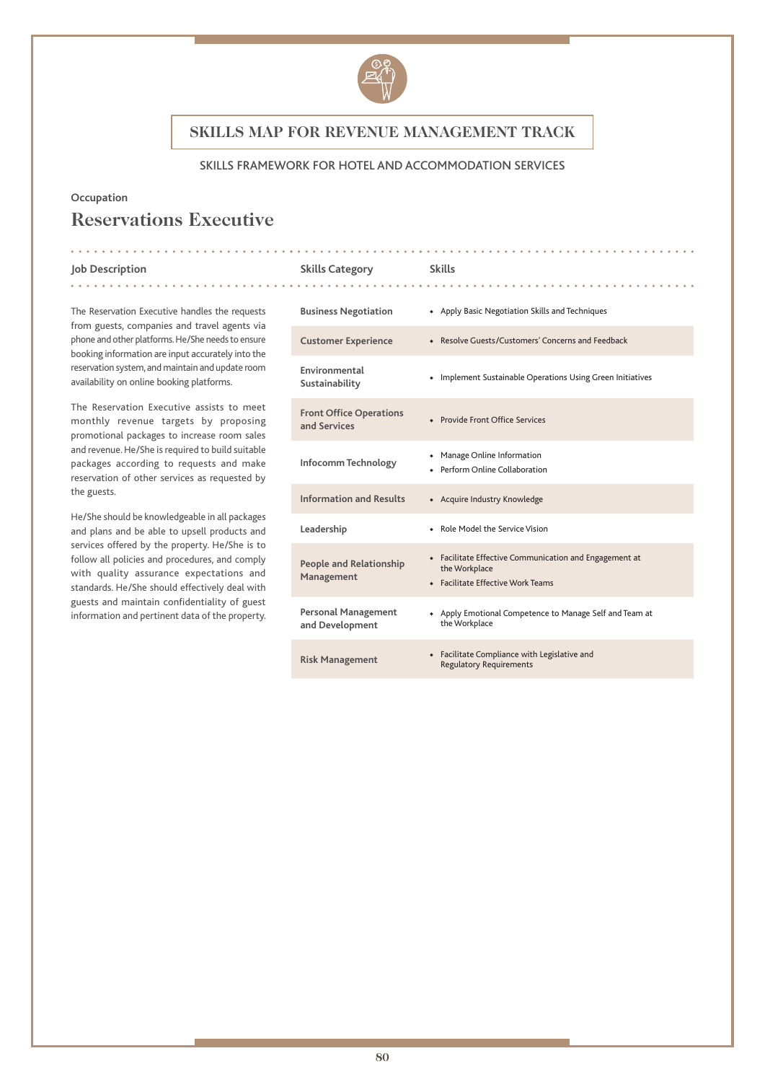

### SKILLS FRAMEWORK FOR HOTEL AND ACCOMMODATION SERVICES

### **Occupation**

# **Reservations Executive**

. . . . . . . . . . . . . . . .

#### **Job Description Skills Category Skills**

. . . . . . . . . . . . .

The Reservation Executive handles the requests from guests, companies and travel agents via phone and other platforms. He/She needs to ensure booking information are input accurately into the reservation system, and maintain and update room availability on online booking platforms.

The Reservation Executive assists to meet monthly revenue targets by proposing promotional packages to increase room sales and revenue. He/She is required to build suitable packages according to requests and make reservation of other services as requested by the guests.

He/She should be knowledgeable in all packages and plans and be able to upsell products and services offered by the property. He/She is to follow all policies and procedures, and comply with quality assurance expectations and standards. He/She should effectively deal with guests and maintain confidentiality of guest information and pertinent data of the property.

| <b>Business Negotiation</b>                    | • Apply Basic Negotiation Skills and Techniques                                                              |
|------------------------------------------------|--------------------------------------------------------------------------------------------------------------|
| <b>Customer Experience</b>                     | • Resolve Guests/Customers' Concerns and Feedback                                                            |
| Environmental<br>Sustainability                | • Implement Sustainable Operations Using Green Initiatives                                                   |
| <b>Front Office Operations</b><br>and Services | • Provide Front Office Services                                                                              |
| Infocomm Technology                            | • Manage Online Information<br>• Perform Online Collaboration                                                |
| <b>Information and Results</b>                 | • Acquire Industry Knowledge                                                                                 |
| Leadership                                     | • Role Model the Service Vision                                                                              |
| <b>People and Relationship</b><br>Management   | • Facilitate Effective Communication and Engagement at<br>the Workplace<br>• Facilitate Effective Work Teams |
| <b>Personal Management</b><br>and Development  | • Apply Emotional Competence to Manage Self and Team at<br>the Workplace                                     |
| <b>Risk Management</b>                         | Facilitate Compliance with Legislative and<br>۰<br><b>Regulatory Requirements</b>                            |

. . . . . . . . . . . . .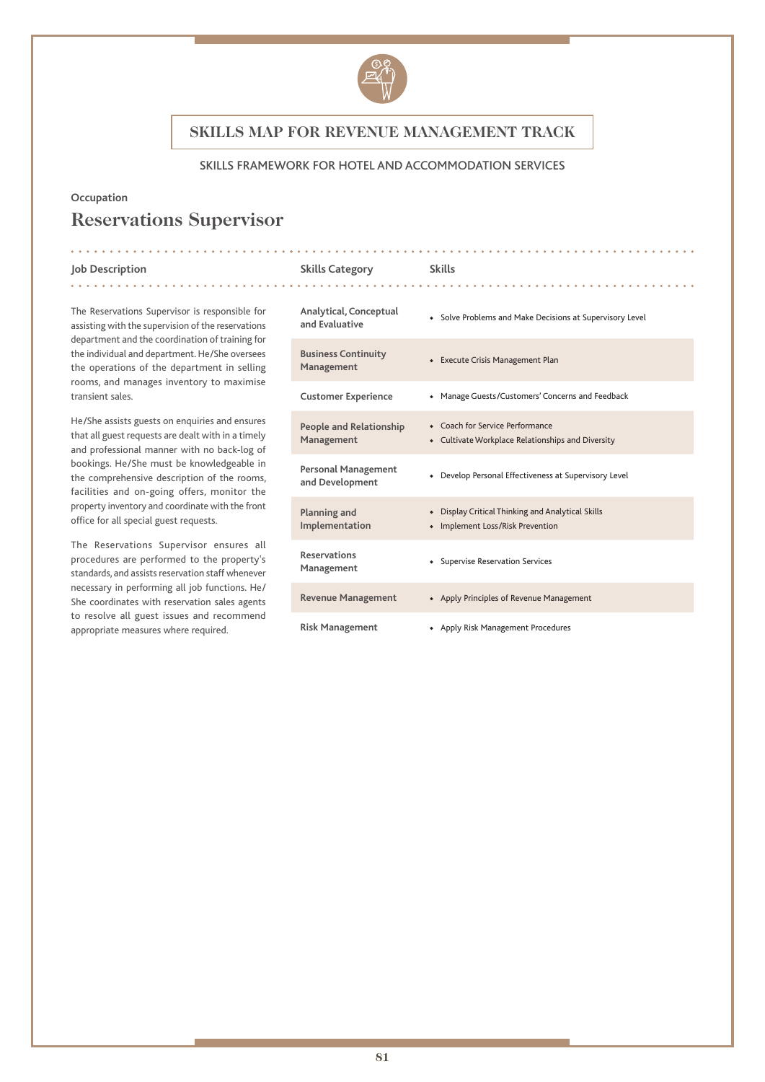

### SKILLS FRAMEWORK FOR HOTEL AND ACCOMMODATION SERVICES

### **Occupation**

# **Reservations Supervisor**

#### **Job Description Skills Category Skills**

. . . . . . . . . . . . .

The Reservations Supervisor is responsible for assisting with the supervision of the reservations department and the coordination of training for the individual and department. He/She oversees the operations of the department in selling rooms, and manages inventory to maximise transient sales.

He/She assists guests on enquiries and ensures that all guest requests are dealt with in a timely and professional manner with no back-log of bookings. He/She must be knowledgeable in the comprehensive description of the rooms, facilities and on-going offers, monitor the property inventory and coordinate with the front office for all special guest requests.

The Reservations Supervisor ensures all procedures are performed to the property's standards, and assists reservation staff whenever necessary in performing all job functions. He/ She coordinates with reservation sales agents to resolve all guest issues and recommend appropriate measures where required.

| Analytical, Conceptual<br>and Evaluative      | • Solve Problems and Make Decisions at Supervisory Level                                        |
|-----------------------------------------------|-------------------------------------------------------------------------------------------------|
| <b>Business Continuity</b><br>Management      | • Execute Crisis Management Plan                                                                |
| <b>Customer Experience</b>                    | • Manage Guests/Customers' Concerns and Feedback                                                |
| People and Relationship<br>Management         | • Coach for Service Performance<br>Cultivate Workplace Relationships and Diversity<br>$\bullet$ |
| <b>Personal Management</b><br>and Development | Develop Personal Effectiveness at Supervisory Level<br>$\bullet$                                |
| Planning and<br>Implementation                | • Display Critical Thinking and Analytical Skills<br>• Implement Loss/Risk Prevention           |
| <b>Reservations</b><br>Management             | • Supervise Reservation Services                                                                |
| <b>Revenue Management</b>                     | • Apply Principles of Revenue Management                                                        |
| <b>Risk Management</b>                        | • Apply Risk Management Procedures                                                              |

<u>. . . . . . . . . .</u>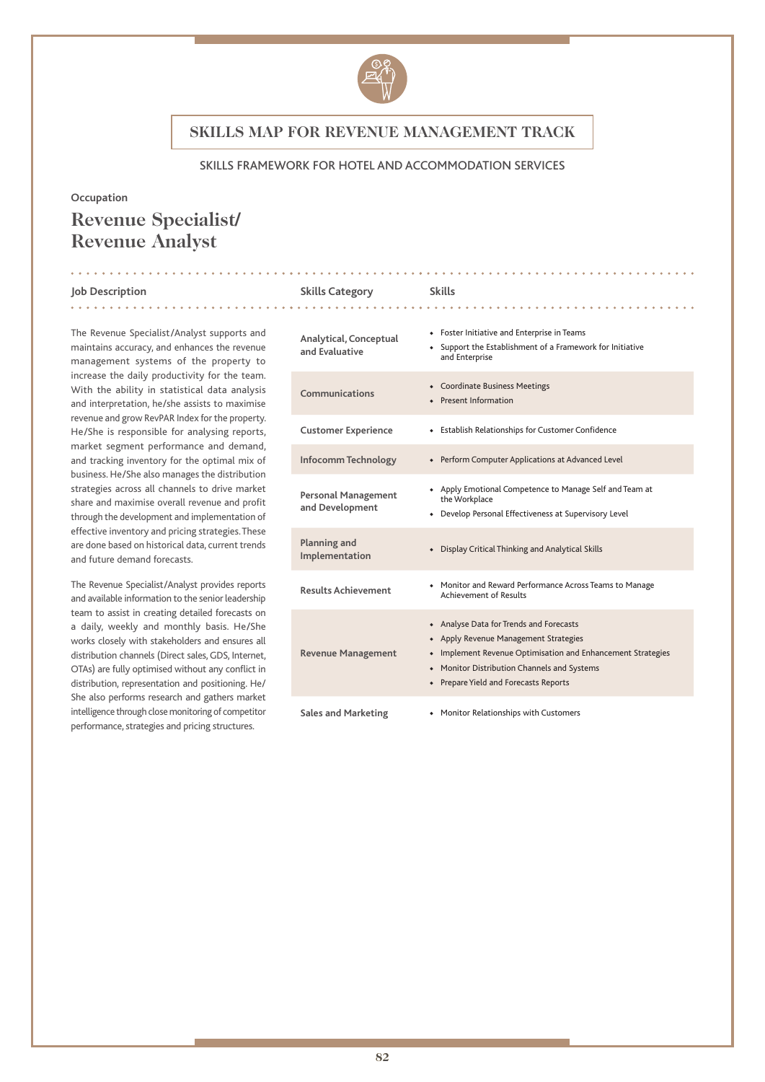

#### SKILLS FRAMEWORK FOR HOTEL AND ACCOMMODATION SERVICES

#### **Occupation**

# **Revenue Specialist/ Revenue Analyst**

. . . . . . . . . . .

#### **Job Description Skills Category Skills**

. . . . . . . . . . . . .

The Revenue Specialist/Analyst supports and maintains accuracy, and enhances the revenue management systems of the property to increase the daily productivity for the team. With the ability in statistical data analysis and interpretation, he/she assists to maximise revenue and grow RevPAR Index for the property. He/She is responsible for analysing reports, market segment performance and demand, and tracking inventory for the optimal mix of business. He/She also manages the distribution strategies across all channels to drive market share and maximise overall revenue and profit through the development and implementation of effective inventory and pricing strategies. These are done based on historical data, current trends and future demand forecasts.

The Revenue Specialist/Analyst provides reports and available information to the senior leadership team to assist in creating detailed forecasts on a daily, weekly and monthly basis. He/She works closely with stakeholders and ensures all distribution channels (Direct sales, GDS, Internet, OTAs) are fully optimised without any conflict in distribution, representation and positioning. He/ She also performs research and gathers market intelligence through close monitoring of competitor performance, strategies and pricing structures.

## **Analytical, Conceptual and Evaluative** ◆ Support the Establishment of a Framework for Initiative and Enterprise **Communications** ◆ Coordinate Business Meetings ◆ Present Information **Customer Experience** ◆ Establish Relationships for Customer Confidence **Infocomm Technology** ◆ Perform Computer Applications at Advanced Level **Personal Management**  ◆ Apply Emotional Competence to Manage Self and Team at the Workplace

**Sales and Marketing** ◆ Monitor Relationships with Customers

| ו כו אטוומג ו ומוומצכוווכווג<br>and Development | the Workplace<br>Develop Personal Effectiveness at Supervisory Level<br>$\bullet$                                                                                                                                                       |
|-------------------------------------------------|-----------------------------------------------------------------------------------------------------------------------------------------------------------------------------------------------------------------------------------------|
| Planning and<br>Implementation                  | Display Critical Thinking and Analytical Skills                                                                                                                                                                                         |
| <b>Results Achievement</b>                      | • Monitor and Reward Performance Across Teams to Manage<br>Achievement of Results                                                                                                                                                       |
| <b>Revenue Management</b>                       | • Analyse Data for Trends and Forecasts<br>• Apply Revenue Management Strategies<br>• Implement Revenue Optimisation and Enhancement Strategies<br>• Monitor Distribution Channels and Systems<br>• Prepare Yield and Forecasts Reports |
|                                                 |                                                                                                                                                                                                                                         |

◆ Foster Initiative and Enterprise in Teams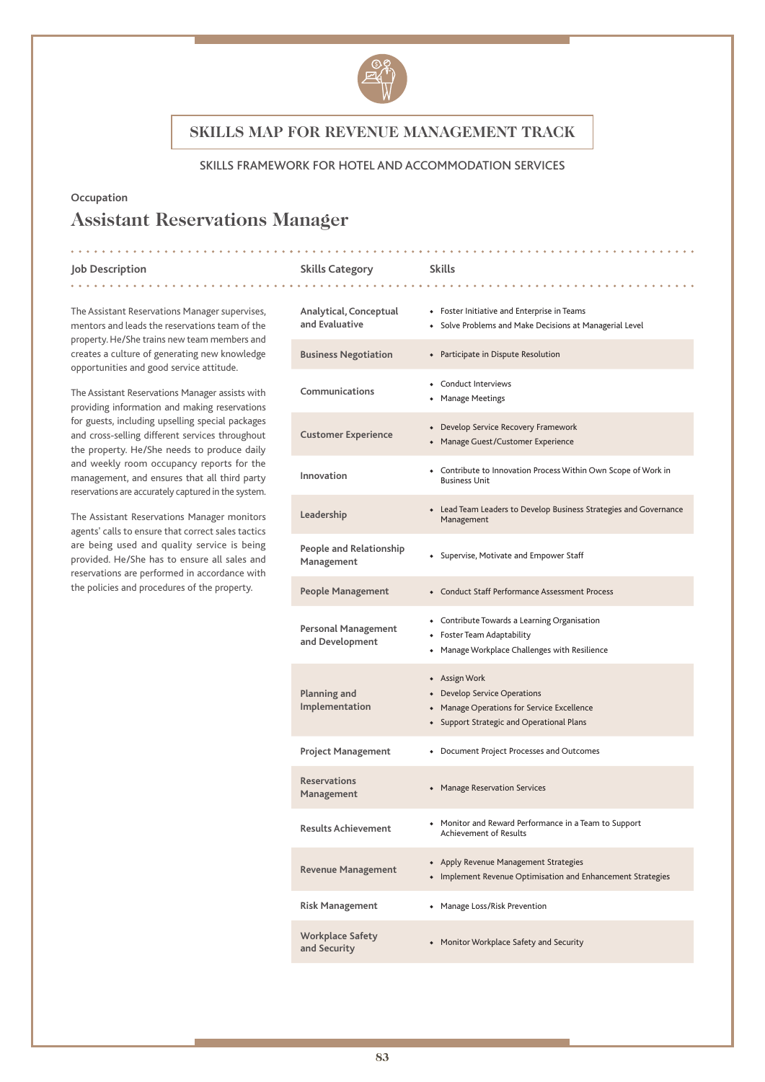

### SKILLS FRAMEWORK FOR HOTEL AND ACCOMMODATION SERVICES

### **Occupation**

# **Assistant Reservations Manager**

 $\frac{1}{2}$ 

#### **Job Description Skills Category Skills**

. . . . . . . . . . . . .

. . . . . . . . . . . . . . . . .

| The Assistant Reservations Manager supervises, |
|------------------------------------------------|
| mentors and leads the reservations team of the |
| property. He/She trains new team members and   |
| creates a culture of generating new knowledge  |
| opportunities and good service attitude.       |
|                                                |

The Assistant Reservations Manager assists with providing information and making reservations for guests, including upselling special packages and cross-selling different services throughout the property. He/She needs to produce daily and weekly room occupancy reports for the management, and ensures that all third party reservations are accurately captured in the system.

The Assistant Reservations Manager monitors agents' calls to ensure that correct sales tactics are being used and quality service is being provided. He/She has to ensure all sales and reservations are performed in accordance with the policies and procedures of the property.

| Analytical, Conceptual<br>and Evaluative      | • Foster Initiative and Enterprise in Teams<br>• Solve Problems and Make Decisions at Managerial Level                                   |
|-----------------------------------------------|------------------------------------------------------------------------------------------------------------------------------------------|
| <b>Business Negotiation</b>                   | • Participate in Dispute Resolution                                                                                                      |
| Communications                                | Conduct Interviews<br><b>Manage Meetings</b>                                                                                             |
| <b>Customer Experience</b>                    | • Develop Service Recovery Framework<br>• Manage Guest/Customer Experience                                                               |
| Innovation                                    | • Contribute to Innovation Process Within Own Scope of Work in<br><b>Business Unit</b>                                                   |
| Leadership                                    | • Lead Team Leaders to Develop Business Strategies and Governance<br>Management                                                          |
| People and Relationship<br>Management         | • Supervise, Motivate and Empower Staff                                                                                                  |
| People Management                             | • Conduct Staff Performance Assessment Process                                                                                           |
| <b>Personal Management</b><br>and Development | • Contribute Towards a Learning Organisation<br>• Foster Team Adaptability<br>Manage Workplace Challenges with Resilience                |
| Planning and<br>Implementation                | + Assign Work<br>• Develop Service Operations<br>• Manage Operations for Service Excellence<br>• Support Strategic and Operational Plans |
| <b>Project Management</b>                     | • Document Project Processes and Outcomes                                                                                                |
| <b>Reservations</b><br>Management             | • Manage Reservation Services                                                                                                            |
| <b>Results Achievement</b>                    | • Monitor and Reward Performance in a Team to Support<br><b>Achievement of Results</b>                                                   |
| <b>Revenue Management</b>                     | • Apply Revenue Management Strategies<br>• Implement Revenue Optimisation and Enhancement Strategies                                     |
| <b>Risk Management</b>                        | • Manage Loss/Risk Prevention                                                                                                            |
| <b>Workplace Safety</b><br>and Security       | • Monitor Workplace Safety and Security                                                                                                  |

. . . . . . . . . . . . . . . . . .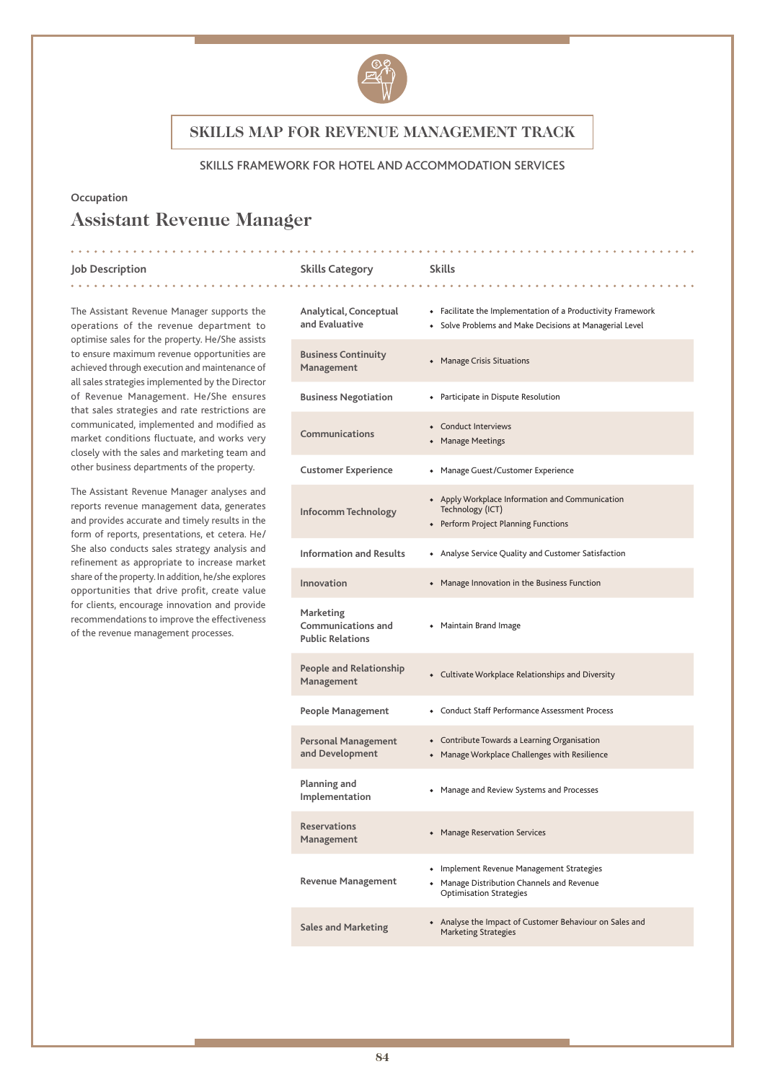

### SKILLS FRAMEWORK FOR HOTEL AND ACCOMMODATION SERVICES

### **Occupation**

# **Assistant Revenue Manager**

<u>. . . . . . . . .</u>

#### **Job Description Skills Category Skills**

The Assistant Revenue Manager supports the operations of the revenue department to optimise sales for the property. He/She assists to ensure maximum revenue opportunities are achieved through execution and maintenance of all sales strategies implemented by the Director of Revenue Management. He/She ensures that sales strategies and rate restrictions are communicated, implemented and modified as market conditions fluctuate, and works very closely with the sales and marketing team and other business departments of the property.

The Assistant Revenue Manager analyses and reports revenue management data, generates and provides accurate and timely results in the form of reports, presentations, et cetera. He/ She also conducts sales strategy analysis and refinement as appropriate to increase market share of the property. In addition, he/she explores opportunities that drive profit, create value for clients, encourage innovation and provide recommendations to improve the effectiveness of the revenue management processes.

| Analytical, Conceptual<br>and Evaluative                          | • Facilitate the Implementation of a Productivity Framework<br>• Solve Problems and Make Decisions at Managerial Level    |
|-------------------------------------------------------------------|---------------------------------------------------------------------------------------------------------------------------|
| <b>Business Continuity</b><br>Management                          | • Manage Crisis Situations                                                                                                |
| <b>Business Negotiation</b>                                       | • Participate in Dispute Resolution                                                                                       |
| Communications                                                    | • Conduct Interviews<br>• Manage Meetings                                                                                 |
| <b>Customer Experience</b>                                        | • Manage Guest/Customer Experience                                                                                        |
| Infocomm Technology                                               | • Apply Workplace Information and Communication<br>Technology (ICT)<br>• Perform Project Planning Functions               |
| <b>Information and Results</b>                                    | • Analyse Service Quality and Customer Satisfaction                                                                       |
| Innovation                                                        | • Manage Innovation in the Business Function                                                                              |
| Marketing<br><b>Communications and</b><br><b>Public Relations</b> | • Maintain Brand Image                                                                                                    |
| <b>People and Relationship</b><br>Management                      | • Cultivate Workplace Relationships and Diversity                                                                         |
| People Management                                                 | • Conduct Staff Performance Assessment Process                                                                            |
| <b>Personal Management</b><br>and Development                     | • Contribute Towards a Learning Organisation<br>• Manage Workplace Challenges with Resilience                             |
| Planning and<br>Implementation                                    | • Manage and Review Systems and Processes                                                                                 |
| <b>Reservations</b><br>Management                                 | • Manage Reservation Services                                                                                             |
| <b>Revenue Management</b>                                         | • Implement Revenue Management Strategies<br>• Manage Distribution Channels and Revenue<br><b>Optimisation Strategies</b> |
| <b>Sales and Marketing</b>                                        | • Analyse the Impact of Customer Behaviour on Sales and<br><b>Marketing Strategies</b>                                    |

. . . . . . . . . . . . . . . . .

. **. . . . . . . . . . . . .** .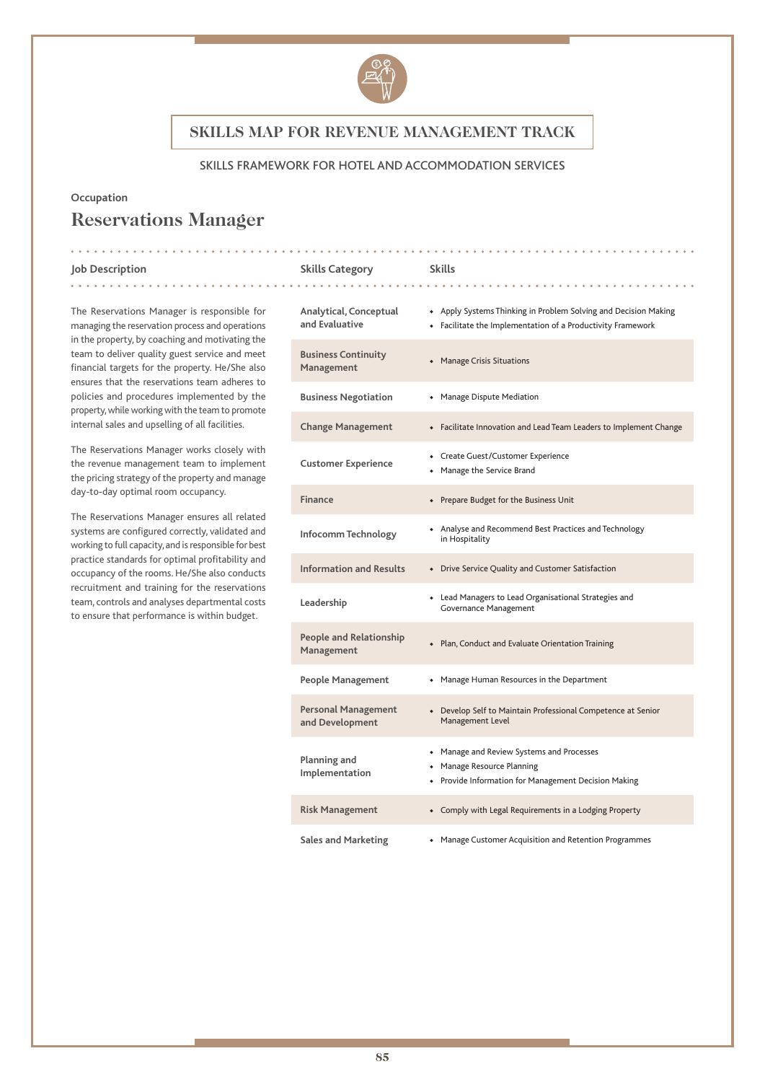

### SKILLS FRAMEWORK FOR HOTEL AND ACCOMMODATION SERVICES

. **. . . . . . . . .** .

### **Occupation**

# **Reservations Manager**

. . . . . . . . .

#### **Job Description Skills Category Skills**

The Reservations Manager is responsible for managing the reservation process and operations in the property, by coaching and motivating the team to deliver quality guest service and meet financial targets for the property. He/She also ensures that the reservations team adheres to policies and procedures implemented by the property, while working with the team to promote internal sales and upselling of all facilities.

The Reservations Manager works closely with the revenue management team to implement the pricing strategy of the property and manage day-to-day optimal room occupancy.

The Reservations Manager ensures all related systems are configured correctly, validated and working to full capacity, and is responsible for best practice standards for optimal profitability and occupancy of the rooms. He/She also conducts recruitment and training for the reservations team, controls and analyses departmental costs to ensure that performance is within budget.

| Analytical, Conceptual<br>and Evaluative      | • Apply Systems Thinking in Problem Solving and Decision Making<br>• Facilitate the Implementation of a Productivity Framework  |
|-----------------------------------------------|---------------------------------------------------------------------------------------------------------------------------------|
| <b>Business Continuity</b><br>Management      | • Manage Crisis Situations                                                                                                      |
| <b>Business Negotiation</b>                   | • Manage Dispute Mediation                                                                                                      |
| <b>Change Management</b>                      | • Facilitate Innovation and Lead Team Leaders to Implement Change                                                               |
| <b>Customer Experience</b>                    | • Create Guest/Customer Experience<br>• Manage the Service Brand                                                                |
| <b>Finance</b>                                | • Prepare Budget for the Business Unit                                                                                          |
| Infocomm Technology                           | • Analyse and Recommend Best Practices and Technology<br>in Hospitality                                                         |
| <b>Information and Results</b>                | • Drive Service Quality and Customer Satisfaction                                                                               |
| Leadership                                    | • Lead Managers to Lead Organisational Strategies and<br>Governance Management                                                  |
| <b>People and Relationship</b><br>Management  | • Plan, Conduct and Evaluate Orientation Training                                                                               |
| <b>People Management</b>                      | • Manage Human Resources in the Department                                                                                      |
| <b>Personal Management</b><br>and Development | • Develop Self to Maintain Professional Competence at Senior<br>Management Level                                                |
| Planning and<br>Implementation                | • Manage and Review Systems and Processes<br>• Manage Resource Planning<br>• Provide Information for Management Decision Making |
| <b>Risk Management</b>                        | • Comply with Legal Requirements in a Lodging Property                                                                          |
| <b>Sales and Marketing</b>                    | • Manage Customer Acquisition and Retention Programmes                                                                          |

. . . . . . . . . . . .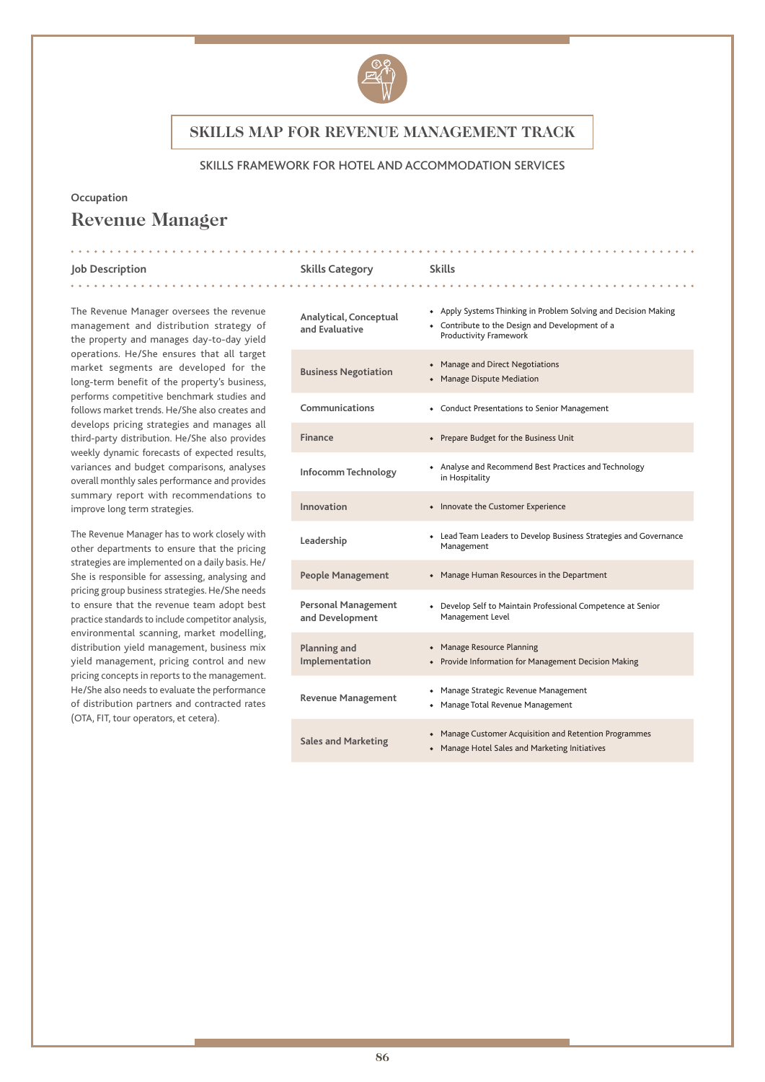

#### SKILLS FRAMEWORK FOR HOTEL AND ACCOMMODATION SERVICES

. . . . . . . . . . . . . . .

#### **Occupation**

# **Revenue Manager**

#### **Job Description Skills Category Skills**

. **. . . . . . . . . . .** .

The Revenue Manager oversees the revenue management and distribution strategy of the property and manages day-to-day yield operations. He/She ensures that all target market segments are developed for the long-term benefit of the property's business, performs competitive benchmark studies and follows market trends. He/She also creates and develops pricing strategies and manages all third-party distribution. He/She also provides weekly dynamic forecasts of expected results, variances and budget comparisons, analyses overall monthly sales performance and provides summary report with recommendations to improve long term strategies.

The Revenue Manager has to work closely with other departments to ensure that the pricing strategies are implemented on a daily basis. He/ She is responsible for assessing, analysing and pricing group business strategies. He/She needs to ensure that the revenue team adopt best practice standards to include competitor analysis, environmental scanning, market modelling, distribution yield management, business mix yield management, pricing control and new pricing concepts in reports to the management. He/She also needs to evaluate the performance of distribution partners and contracted rates (OTA, FIT, tour operators, et cetera).

| Analytical, Conceptual<br>and Evaluative      | • Apply Systems Thinking in Problem Solving and Decision Making<br>• Contribute to the Design and Development of a<br>Productivity Framework |
|-----------------------------------------------|----------------------------------------------------------------------------------------------------------------------------------------------|
| <b>Business Negotiation</b>                   | • Manage and Direct Negotiations<br>• Manage Dispute Mediation                                                                               |
| Communications                                | • Conduct Presentations to Senior Management                                                                                                 |
| Finance                                       | • Prepare Budget for the Business Unit                                                                                                       |
| Infocomm Technology                           | • Analyse and Recommend Best Practices and Technology<br>in Hospitality                                                                      |
| Innovation                                    | • Innovate the Customer Experience                                                                                                           |
| Leadership                                    | • Lead Team Leaders to Develop Business Strategies and Governance<br>Management                                                              |
| <b>People Management</b>                      | • Manage Human Resources in the Department                                                                                                   |
| <b>Personal Management</b><br>and Development | • Develop Self to Maintain Professional Competence at Senior<br>Management Level                                                             |
| Planning and<br>Implementation                | • Manage Resource Planning<br>• Provide Information for Management Decision Making                                                           |
| <b>Revenue Management</b>                     | • Manage Strategic Revenue Management<br>• Manage Total Revenue Management                                                                   |
| <b>Sales and Marketing</b>                    | • Manage Customer Acquisition and Retention Programmes<br>• Manage Hotel Sales and Marketing Initiatives                                     |

. **. . . . . . . . . . . . .** .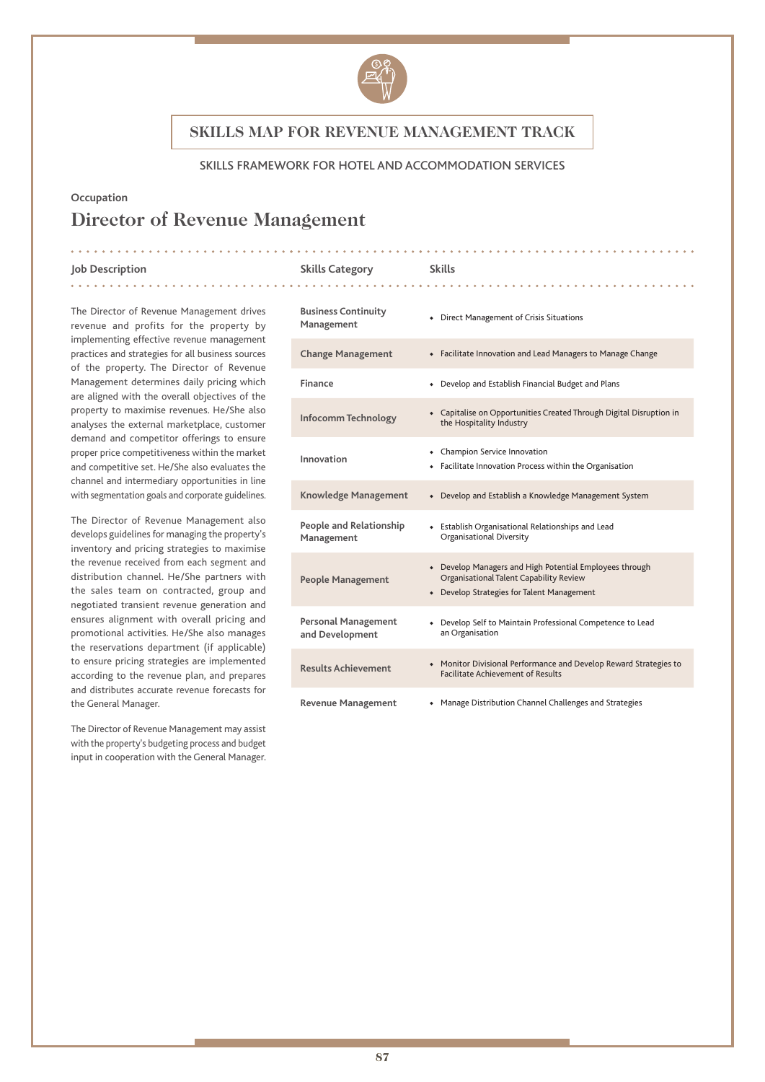

### SKILLS FRAMEWORK FOR HOTEL AND ACCOMMODATION SERVICES

### **Occupation**

# **Director of Revenue Management**

#### **Job Description Skills Category Skills**

. . . . . . . . . . . . .

The Director of Revenue Management drives revenue and profits for the property by implementing effective revenue management practices and strategies for all business sources of the property. The Director of Revenue Management determines daily pricing which are aligned with the overall objectives of the property to maximise revenues. He/She also analyses the external marketplace, customer demand and competitor offerings to ensure proper price competitiveness within the market and competitive set. He/She also evaluates the channel and intermediary opportunities in line with segmentation goals and corporate guidelines.

The Director of Revenue Management also develops guidelines for managing the property's inventory and pricing strategies to maximise the revenue received from each segment and distribution channel. He/She partners with the sales team on contracted, group and negotiated transient revenue generation and ensures alignment with overall pricing and promotional activities. He/She also manages the reservations department (if applicable) to ensure pricing strategies are implemented according to the revenue plan, and prepares and distributes accurate revenue forecasts for the General Manager.

The Director of Revenue Management may assist with the property's budgeting process and budget input in cooperation with the General Manager.

| <b>Business Continuity</b><br>Management      | • Direct Management of Crisis Situations                                                                                                         |
|-----------------------------------------------|--------------------------------------------------------------------------------------------------------------------------------------------------|
| <b>Change Management</b>                      | • Facilitate Innovation and Lead Managers to Manage Change                                                                                       |
| Finance                                       | • Develop and Establish Financial Budget and Plans                                                                                               |
| Infocomm Technology                           | • Capitalise on Opportunities Created Through Digital Disruption in<br>the Hospitality Industry                                                  |
| Innovation                                    | • Champion Service Innovation<br>• Facilitate Innovation Process within the Organisation                                                         |
| <b>Knowledge Management</b>                   | • Develop and Establish a Knowledge Management System                                                                                            |
| People and Relationship<br>Management         | • Establish Organisational Relationships and Lead<br><b>Organisational Diversity</b>                                                             |
| <b>People Management</b>                      | • Develop Managers and High Potential Employees through<br>Organisational Talent Capability Review<br>• Develop Strategies for Talent Management |
| <b>Personal Management</b><br>and Development | • Develop Self to Maintain Professional Competence to Lead<br>an Organisation                                                                    |
| <b>Results Achievement</b>                    | • Monitor Divisional Performance and Develop Reward Strategies to<br><b>Facilitate Achievement of Results</b>                                    |
| <b>Revenue Management</b>                     | • Manage Distribution Channel Challenges and Strategies                                                                                          |

. . . . . . . . . . . . . . . .